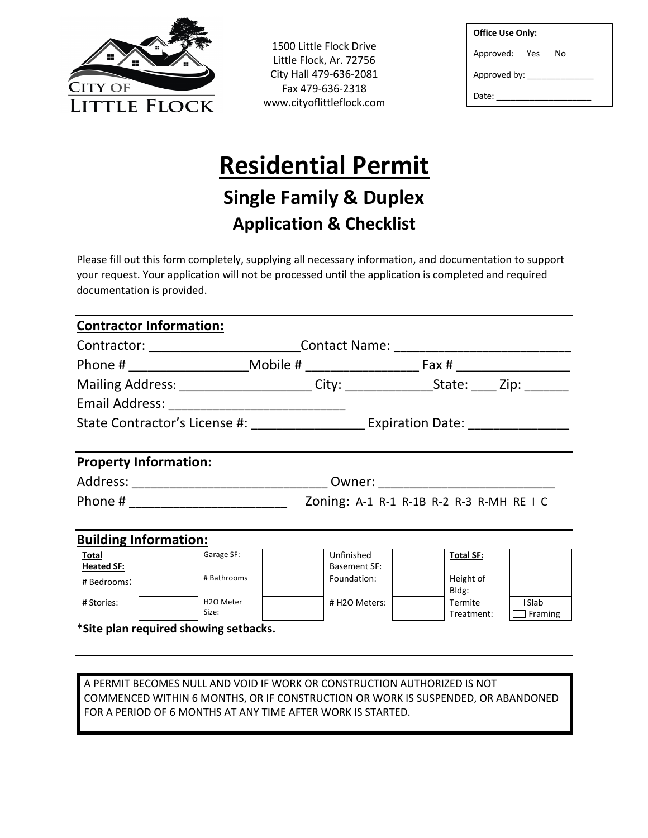

1500 Little Flock Drive Little Flock, Ar. 72756 City Hall 479-636-2081 Fax 479-636-2318 www.cityoflittleflock.com

| <b>Office Use Only:</b> |  |    |  |  |
|-------------------------|--|----|--|--|
| Approved: Yes           |  | N٥ |  |  |
| Approved by:            |  |    |  |  |
| Date:                   |  |    |  |  |

# **Residential Permit**

## **Single Family & Duplex Application & Checklist**

Please fill out this form completely, supplying all necessary information, and documentation to support your request. Your application will not be processed until the application is completed and required documentation is provided.

| <b>Contractor Information:</b>           |                                                                                            |                            |                       |                        |  |  |
|------------------------------------------|--------------------------------------------------------------------------------------------|----------------------------|-----------------------|------------------------|--|--|
|                                          | Contractor: _____________________________Contact Name: _________________________           |                            |                       |                        |  |  |
|                                          |                                                                                            |                            |                       |                        |  |  |
|                                          | Mailing Address: _______________________City: ___________________State: _____Zip: ________ |                            |                       |                        |  |  |
|                                          |                                                                                            |                            |                       |                        |  |  |
|                                          |                                                                                            |                            |                       |                        |  |  |
| <b>Property Information:</b>             |                                                                                            |                            |                       |                        |  |  |
|                                          |                                                                                            |                            |                       |                        |  |  |
| Zoning: A-1 R-1 R-1B R-2 R-3 R-MH RE I C |                                                                                            |                            |                       |                        |  |  |
| <b>Building Information:</b>             |                                                                                            |                            |                       |                        |  |  |
| Total<br><b>Heated SF:</b>               | Garage SF:                                                                                 | Unfinished<br>Basement SF: | <b>Total SF:</b>      |                        |  |  |
| # Bedrooms:                              | # Bathrooms                                                                                | Foundation:                | Height of<br>Bldg:    |                        |  |  |
| # Stories:                               | H <sub>20</sub> Meter<br>Size:                                                             | # H2O Meters:              | Termite<br>Treatment: | Slab<br>$\Box$ Framing |  |  |
|                                          | *Site plan required showing setbacks.                                                      |                            |                       |                        |  |  |

A PERMIT BECOMES NULL AND VOID IF WORK OR CONSTRUCTION AUTHORIZED IS NOT COMMENCED WITHIN 6 MONTHS, OR IF CONSTRUCTION OR WORK IS SUSPENDED, OR ABANDONED FOR A PERIOD OF 6 MONTHS AT ANY TIME AFTER WORK IS STARTED.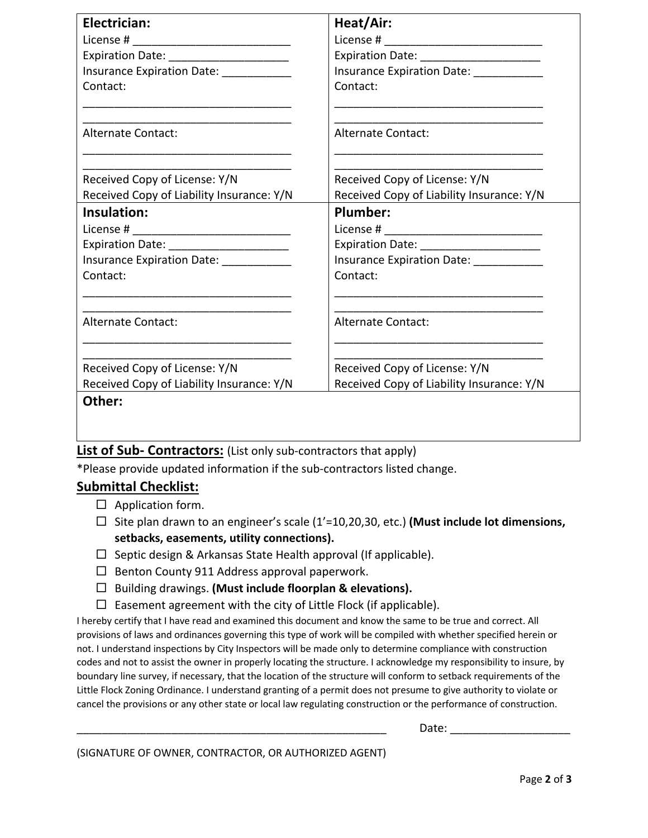| Electrician:                                                                                                                      | Heat/Air:                                 |
|-----------------------------------------------------------------------------------------------------------------------------------|-------------------------------------------|
|                                                                                                                                   |                                           |
| Expiration Date: _______________________                                                                                          | Expiration Date: ______________________   |
| Insurance Expiration Date: ____________                                                                                           | Insurance Expiration Date: __________     |
| Contact:<br><u> 1989 - Johann John Stein, mars an deutscher Stein und der Stein und der Stein und der Stein und der Stein und</u> | Contact:                                  |
| <b>Alternate Contact:</b>                                                                                                         | Alternate Contact:                        |
| Received Copy of License: Y/N                                                                                                     | Received Copy of License: Y/N             |
| Received Copy of Liability Insurance: Y/N                                                                                         | Received Copy of Liability Insurance: Y/N |
| Insulation:                                                                                                                       | Plumber:                                  |
|                                                                                                                                   |                                           |
| Expiration Date: ________________________                                                                                         | Expiration Date: _______________________  |
|                                                                                                                                   | Insurance Expiration Date: [19]           |
| Contact:                                                                                                                          | Contact:                                  |
| <b>Alternate Contact:</b>                                                                                                         | <b>Alternate Contact:</b>                 |
|                                                                                                                                   |                                           |
| Received Copy of License: Y/N                                                                                                     | Received Copy of License: Y/N             |
| Received Copy of Liability Insurance: Y/N                                                                                         | Received Copy of Liability Insurance: Y/N |
| Other:                                                                                                                            |                                           |

#### **List of Sub- Contractors:** (List only sub-contractors that apply)

\*Please provide updated information if the sub-contractors listed change.

#### **Submittal Checklist:**

- $\square$  Application form.
- $□$  Site plan drawn to an engineer's scale  $(1' = 10, 20, 30,$  etc.) **(Must include lot dimensions, setbacks, easements, utility connections).**
- $\Box$  Septic design & Arkansas State Health approval (If applicable).
- $\square$  Benton County 911 Address approval paperwork.
- □ Building drawings. (Must include floorplan & elevations).
- $\square$  Easement agreement with the city of Little Flock (if applicable).

I hereby certify that I have read and examined this document and know the same to be true and correct. All provisions of laws and ordinances governing this type of work will be compiled with whether specified herein or not. I understand inspections by City Inspectors will be made only to determine compliance with construction codes and not to assist the owner in properly locating the structure. I acknowledge my responsibility to insure, by boundary line survey, if necessary, that the location of the structure will conform to setback requirements of the Little Flock Zoning Ordinance. I understand granting of a permit does not presume to give authority to violate or cancel the provisions or any other state or local law regulating construction or the performance of construction.

Date:  $\Box$ 

(SIGNATURE OF OWNER, CONTRACTOR, OR AUTHORIZED AGENT)